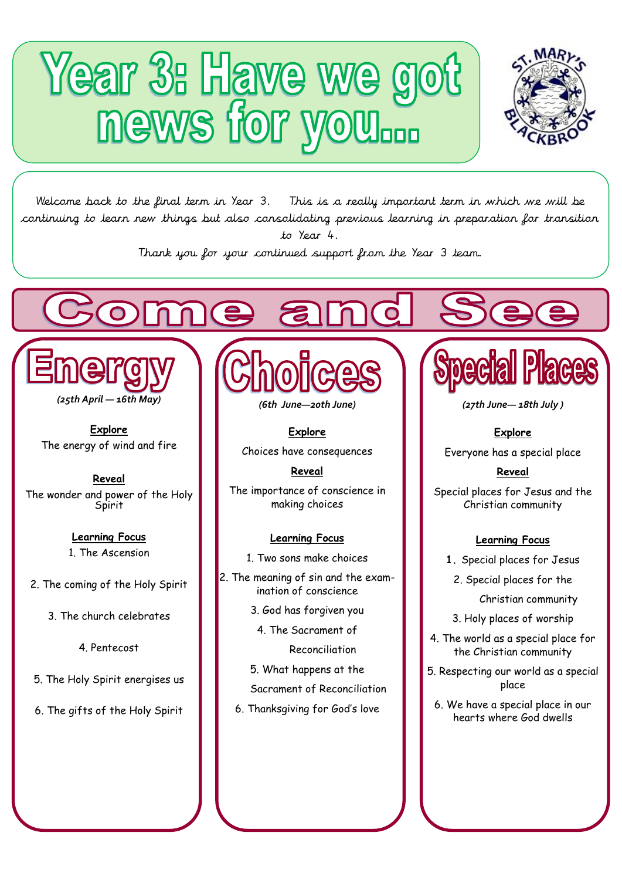# Year 3: Have we got



Welcome back to the final term in Year 3. This is a really important term in which we will be continuing to learn new things but also consolidating previous learning in preparation for transition to Year 4.

Thank you for your continued support from the Year 3 team.



Ĺ,

**Explore** The energy of wind and fire

**Reveal** The wonder and power of the Holy **Spirit** 

> **Learning Focus**  1. The Ascension

2. The coming of the Holy Spirit

3. The church celebrates

4. Pentecost

5. The Holy Spirit energises us

6. The gifts of the Holy Spirit



*(6th June—20th June)* 

**Explore** Choices have consequences

**Reveal** The importance of conscience in making choices

### **Learning Focus**

- 1. Two sons make choices
- 2. The meaning of sin and the examination of conscience
	- 3. God has forgiven you
		- 4. The Sacrament of

Reconciliation

5. What happens at the

Sacrament of Reconciliation

6. Thanksgiving for God's love



*(27th June— 18th July )*

## **Explore**

Everyone has a special place

### **Reveal**

Special places for Jesus and the Christian community

### **Learning Focus**

**1.** Special places for Jesus

2. Special places for the

Christian community

- 3. Holy places of worship
- 4. The world as a special place for the Christian community
- 5. Respecting our world as a special place
	- 6. We have a special place in our hearts where God dwells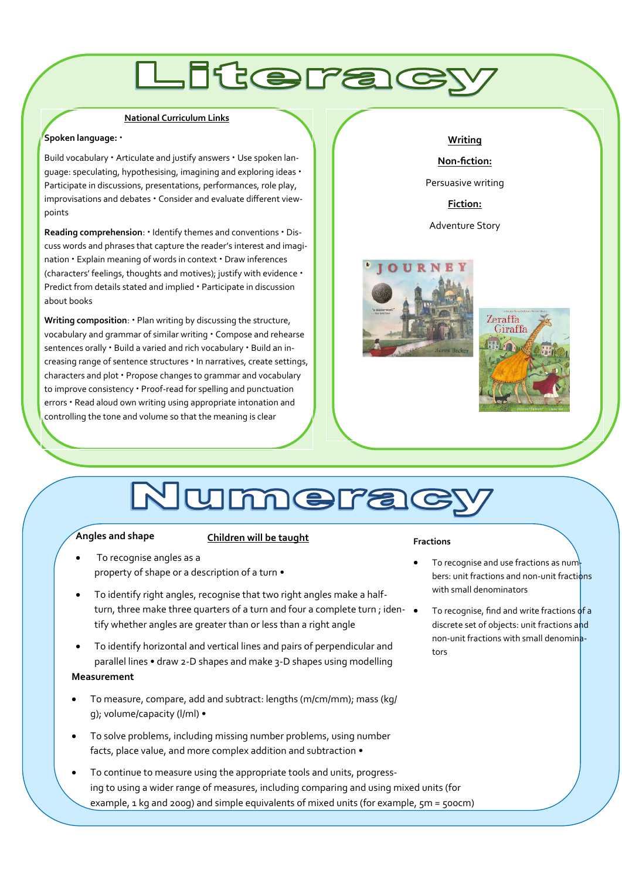# **.Iterac**

#### **National Curriculum Links**

#### **Spoken language:** •

Build vocabulary • Articulate and justify answers • Use spoken language: speculating, hypothesising, imagining and exploring ideas • Participate in discussions, presentations, performances, role play, improvisations and debates • Consider and evaluate different viewpoints

**Reading comprehension**: • Identify themes and conventions • Discuss words and phrases that capture the reader's interest and imagination • Explain meaning of words in context • Draw inferences (characters' feelings, thoughts and motives); justify with evidence • Predict from details stated and implied • Participate in discussion about books

**Writing composition**: • Plan writing by discussing the structure, vocabulary and grammar of similar writing • Compose and rehearse sentences orally • Build a varied and rich vocabulary • Build an increasing range of sentence structures • In narratives, create settings, characters and plot • Propose changes to grammar and vocabulary to improve consistency • Proof-read for spelling and punctuation errors • Read aloud own writing using appropriate intonation and controlling the tone and volume so that the meaning is clear

#### **Writing**

**Non-fiction:** 

Persuasive writing

**Fiction:** 

Adventure Story





# Numerad

#### **Angles and shape**

#### **Children will be taught**

- To recognise angles as a property of shape or a description of a turn •
- To identify right angles, recognise that two right angles make a halfturn, three make three quarters of a turn and four a complete turn; iden-  $\bullet$ tify whether angles are greater than or less than a right angle
- To identify horizontal and vertical lines and pairs of perpendicular and parallel lines • draw 2-D shapes and make 3-D shapes using modelling

### **Measurement**

- To measure, compare, add and subtract: lengths (m/cm/mm); mass (kg/ g); volume/capacity (l/ml) •
- To solve problems, including missing number problems, using number facts, place value, and more complex addition and subtraction •
- To continue to measure using the appropriate tools and units, progressing to using a wider range of measures, including comparing and using mixed units (for example, 1 kg and 200g) and simple equivalents of mixed units (for example, 5m = 500cm)

#### **Fractions**

- To recognise and use fractions as num bers: unit fractions and non-unit fractions with small denominators
	- To recognise, find and write fractions of a discrete set of objects: unit fractions and non-unit fractions with small denominators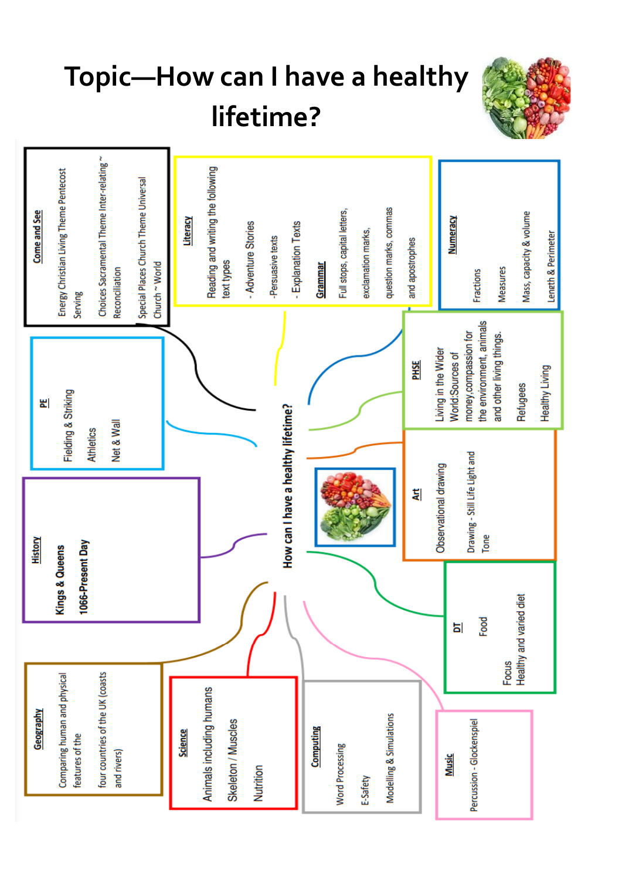# **Topic—How can I have a healthy lifetime?**